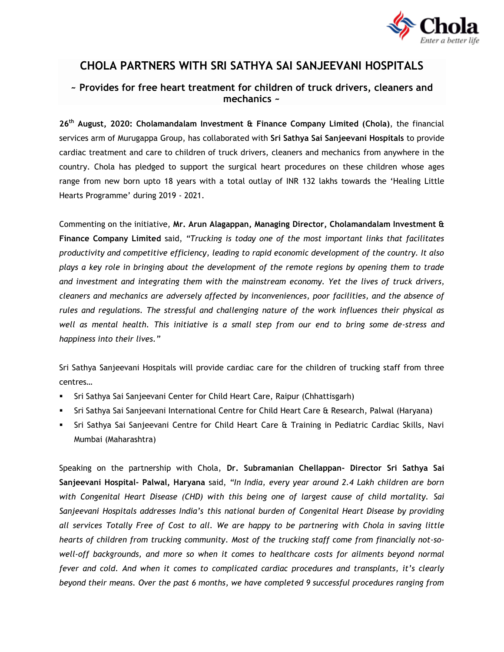

## **CHOLA PARTNERS WITH SRI SATHYA SAI SANJEEVANI HOSPITALS**

## **~ Provides for free heart treatment for children of truck drivers, cleaners and mechanics ~**

**26th August, 2020: Cholamandalam Investment & Finance Company Limited (Chola)**, the financial services arm of Murugappa Group, has collaborated with **Sri Sathya Sai Sanjeevani Hospitals** to provide cardiac treatment and care to children of truck drivers, cleaners and mechanics from anywhere in the country. Chola has pledged to support the surgical heart procedures on these children whose ages range from new born upto 18 years with a total outlay of INR 132 lakhs towards the 'Healing Little Hearts Programme' during 2019 - 2021.

Commenting on the initiative, **Mr. Arun Alagappan, Managing Director, Cholamandalam Investment & Finance Company Limited** said, *"Trucking is today one of the most important links that facilitates productivity and competitive efficiency, leading to rapid economic development of the country. It also plays a key role in bringing about the development of the remote regions by opening them to trade and investment and integrating them with the mainstream economy. Yet the lives of truck drivers, cleaners and mechanics are adversely affected by inconveniences, poor facilities, and the absence of rules and regulations. The stressful and challenging nature of the work influences their physical as well as mental health. This initiative is a small step from our end to bring some de-stress and happiness into their lives."*

Sri Sathya Sanjeevani Hospitals will provide cardiac care for the children of trucking staff from three centres…

- Sri Sathya Sai Sanjeevani Center for Child Heart Care, Raipur (Chhattisgarh)
- Sri Sathya Sai Sanjeevani International Centre for Child Heart Care & Research, Palwal (Haryana)
- Sri Sathya Sai Sanjeevani Centre for Child Heart Care & Training in Pediatric Cardiac Skills, Navi Mumbai (Maharashtra)

Speaking on the partnership with Chola, **Dr. Subramanian Chellappan- Director Sri Sathya Sai Sanjeevani Hospital- Palwal, Haryana** said, *"In India, every year around 2.4 Lakh children are born with Congenital Heart Disease (CHD) with this being one of largest cause of child mortality. Sai Sanjeevani Hospitals addresses India's this national burden of Congenital Heart Disease by providing all services Totally Free of Cost to all. We are happy to be partnering with Chola in saving little hearts of children from trucking community. Most of the trucking staff come from financially not-sowell-off backgrounds, and more so when it comes to healthcare costs for ailments beyond normal fever and cold. And when it comes to complicated cardiac procedures and transplants, it's clearly beyond their means. Over the past 6 months, we have completed 9 successful procedures ranging from*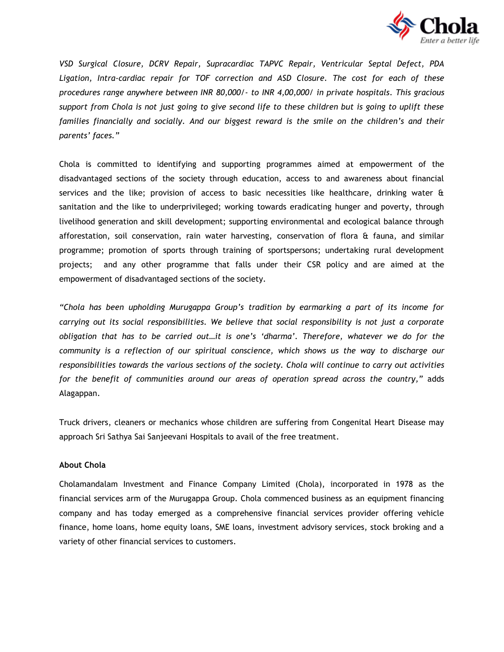

*VSD Surgical Closure, DCRV Repair, Supracardiac TAPVC Repair, Ventricular Septal Defect, PDA Ligation, Intra-cardiac repair for TOF correction and ASD Closure. The cost for each of these procedures range anywhere between INR 80,000/- to INR 4,00,000/ in private hospitals. This gracious support from Chola is not just going to give second life to these children but is going to uplift these families financially and socially. And our biggest reward is the smile on the children's and their parents' faces."*

Chola is committed to identifying and supporting programmes aimed at empowerment of the disadvantaged sections of the society through education, access to and awareness about financial services and the like; provision of access to basic necessities like healthcare, drinking water  $\hat{a}$ sanitation and the like to underprivileged; working towards eradicating hunger and poverty, through livelihood generation and skill development; supporting environmental and ecological balance through afforestation, soil conservation, rain water harvesting, conservation of flora & fauna, and similar programme; promotion of sports through training of sportspersons; undertaking rural development projects; and any other programme that falls under their CSR policy and are aimed at the empowerment of disadvantaged sections of the society.

*"Chola has been upholding Murugappa Group's tradition by earmarking a part of its income for carrying out its social responsibilities. We believe that social responsibility is not just a corporate obligation that has to be carried out…it is one's 'dharma'. Therefore, whatever we do for the community is a reflection of our spiritual conscience, which shows us the way to discharge our responsibilities towards the various sections of the society. Chola will continue to carry out activities for the benefit of communities around our areas of operation spread across the country,"* adds Alagappan.

Truck drivers, cleaners or mechanics whose children are suffering from Congenital Heart Disease may approach Sri Sathya Sai Sanjeevani Hospitals to avail of the free treatment.

## **About Chola**

Cholamandalam Investment and Finance Company Limited (Chola), incorporated in 1978 as the financial services arm of the Murugappa Group. Chola commenced business as an equipment financing company and has today emerged as a comprehensive financial services provider offering vehicle finance, home loans, home equity loans, SME loans, investment advisory services, stock broking and a variety of other financial services to customers.